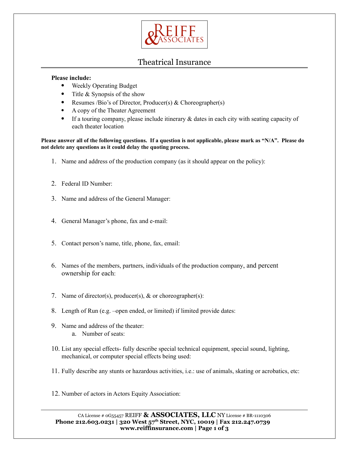

# Theatrical Insurance

#### **Please include:**

- Weekly Operating Budget
- Title & Synopsis of the show
- Resumes /Bio's of Director, Producer(s) & Choreographer(s)
- A copy of the Theater Agreement
- If a touring company, please include itinerary & dates in each city with seating capacity of each theater location

**Please answer all of the following questions. If a question is not applicable, please mark as "N/A". Please do not delete any questions as it could delay the quoting process.** 

- 1. Name and address of the production company (as it should appear on the policy):
- 2. Federal ID Number:
- 3. Name and address of the General Manager:
- 4. General Manager's phone, fax and e-mail:
- 5. Contact person's name, title, phone, fax, email:
- 6. Names of the members, partners, individuals of the production company, and percent ownership for each:
- 7. Name of director(s), producer(s), & or choreographer(s):
- 8. Length of Run (e.g. –open ended, or limited) if limited provide dates:
- 9. Name and address of the theater: a. Number of seats:
- 10. List any special effects- fully describe special technical equipment, special sound, lighting, mechanical, or computer special effects being used:
- 11. Fully describe any stunts or hazardous activities, i.e.: use of animals, skating or acrobatics, etc:
- 12. Number of actors in Actors Equity Association:

CA License # 0G55457 REIFF **& ASSOCIATES, LLC** NY License # BR-1110306 **Phone 212.603.0231 | 320 West 57th Street, NYC, 10019 | Fax 212.247.0739 www.reiffinsurance.com | Page 1 of 3**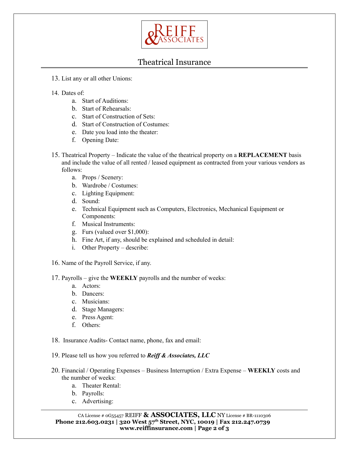

# Theatrical Insurance

- 13. List any or all other Unions:
- 14. Dates of:
	- a. Start of Auditions:
	- b. Start of Rehearsals:
	- c. Start of Construction of Sets:
	- d. Start of Construction of Costumes:
	- e. Date you load into the theater:
	- f. Opening Date:
- 15. Theatrical Property Indicate the value of the theatrical property on a **REPLACEMENT** basis and include the value of all rented / leased equipment as contracted from your various vendors as follows:
	- a. Props / Scenery:
	- b. Wardrobe / Costumes:
	- c. Lighting Equipment:
	- d. Sound:
	- e. Technical Equipment such as Computers, Electronics, Mechanical Equipment or Components:
	- f. Musical Instruments:
	- g. Furs (valued over \$1,000):
	- h. Fine Art, if any, should be explained and scheduled in detail:
	- i. Other Property describe:
- 16. Name of the Payroll Service, if any.

17. Payrolls – give the **WEEKLY** payrolls and the number of weeks:

- a. Actors:
- b. Dancers:
- c. Musicians:
- d. Stage Managers:
- e. Press Agent:
- f. Others:
- 18. Insurance Audits- Contact name, phone, fax and email:
- 19. Please tell us how you referred to *Reiff & Associates, LLC*
- 20. Financial / Operating Expenses Business Interruption / Extra Expense **WEEKLY** costs and the number of weeks:
	- a. Theater Rental:
	- b. Payrolls:
	- c. Advertising: